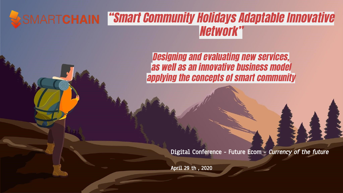#### **ESMARTCHAIN "Smart Community Holidays Adaptable Innovative** Network"

Designing and evaluating new services, as well as an innovative business model applying the concepts of smart community

Digital Conference - Future Ecom - Currency of the future

April 29 th , 2020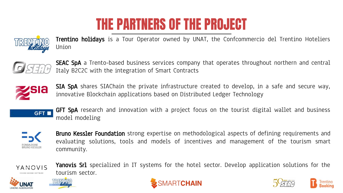### THE PARTNERS OF THE PROJECT



Trentino holidays is a Tour Operator owned by UNAT, the Confcommercio del Trentino Hoteliers Union



**SEAC SpA** a Trento-based business services company that operates throughout northern and central Italy B2C2C with the integration of Smart Contracts



**SIA SpA** shares SIAChain the private infrastructure created to develop, in a safe and secure way, innovative Blockchain applications based on Distributed Ledger Technology



**GFT SpA** research and innovation with a project focus on the tourist digital wallet and business model modeling



**Bruno Kessler Foundation** strong expertise on methodological aspects of defining requirements and evaluating solutions, tools and models of incentives and management of the tourism smart community.

Yanovis Srl specialized in IT systems for the hotel sector. Develop application solutions for the







tourism sector.



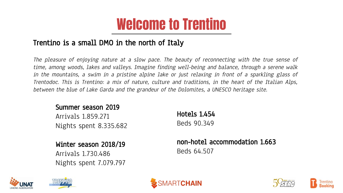#### Welcome to Trentino

#### Trentino is a small DMO in the north of Italy

The pleasure of enjoying nature at a slow pace. The beauty of reconnecting with the true sense of time, among woods, lakes and valleys. Imagine finding well-being and balance, through a serene walk in the mountains, a swim in a pristine alpine lake or just relaxing in front of a sparkling glass of Trentodoc. This is Trentino: a mix of nature, culture and traditions, in the heart of the Italian Alps, between the blue of Lake Garda and the grandeur of the Dolomites, a UNESCO heritage site.

#### Summer season 2019

Arrivals 1.859.271 Nights spent 8.335.682

#### Winter season 2018/19

Arrivals 1.730.486 Nights spent 7.079.797

Hotels 1.454 Beds 90.349

non-hotel accommodation 1.663 Beds 64.507









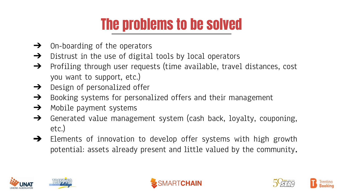## The problems to be solved

- $\rightarrow$  On-boarding of the operators
- $\rightarrow$  Distrust in the use of digital tools by local operators
- ➔ Profiling through user requests (time available, travel distances, cost you want to support, etc.)
- ➔ Design of personalized offer
- $\rightarrow$  Booking systems for personalized offers and their management
- $\rightarrow$  Mobile payment systems
- ➔ Generated value management system (cash back, loyalty, couponing, etc.)
- ➔ Elements of innovation to develop offer systems with high growth potential: assets already present and little valued by the community.









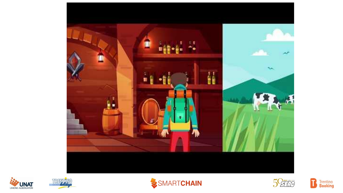









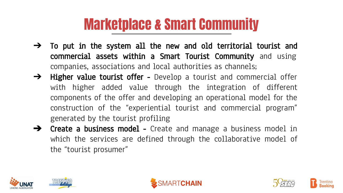### Marketplace & Smart Community

- $\rightarrow$  To put in the system all the new and old territorial tourist and commercial assets within a Smart Tourist Community and using companies, associations and local authorities as channels;
- $\rightarrow$  Higher value tourist offer Develop a tourist and commercial offer with higher added value through the integration of different components of the offer and developing an operational model for the construction of the "experiential tourist and commercial program" generated by the tourist profiling
- **→** Create a business model Create and manage a business model in which the services are defined through the collaborative model of the "tourist prosumer"









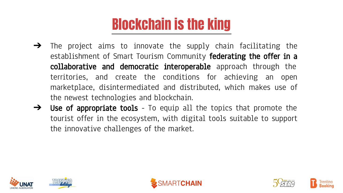## Blockchain is the king

- $\rightarrow$  The project aims to innovate the supply chain facilitating the establishment of Smart Tourism Community **federating the offer in a** collaborative and democratic interoperable approach through the territories, and create the conditions for achieving an open marketplace, disintermediated and distributed, which makes use of the newest technologies and blockchain.
- → Use of appropriate tools To equip all the topics that promote the tourist offer in the ecosystem, with digital tools suitable to support the innovative challenges of the market.









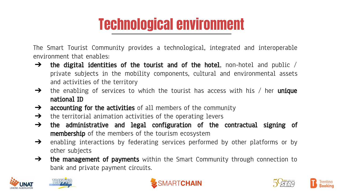## Technological environment

The Smart Tourist Community provides a technological, integrated and interoperable environment that enables:

- $\rightarrow$  the digital identities of the tourist and of the hotel, non-hotel and public / private subjects in the mobility components, cultural and environmental assets and activities of the territory
- $\rightarrow$  the enabling of services to which the tourist has access with his / her **unique** national ID
- $\rightarrow$  accounting for the activities of all members of the community
- $\rightarrow$  the territorial animation activities of the operating levers
- $\rightarrow$  the administrative and legal configuration of the contractual signing of **membership** of the members of the tourism ecosystem
- $\rightarrow$  enabling interactions by federating services performed by other platforms or by other subjects
- $\rightarrow$  the management of payments within the Smart Community through connection to bank and private payment circuits.







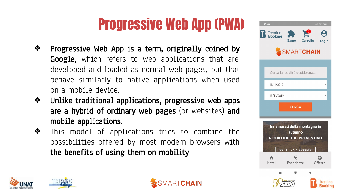# Progressive Web App (PWA)

- ❖ Progressive Web App is a term, originally coined by **Google,** which refers to web applications that are developed and loaded as normal web pages, but that behave similarly to native applications when used on a mobile device.
- ❖ Unlike traditional applications, progressive web apps are a hybrid of ordinary web pages (or websites) and mobile applications.
- ❖ This model of applications tries to combine the possibilities offered by most modern browsers with the benefits of using them on mobility.







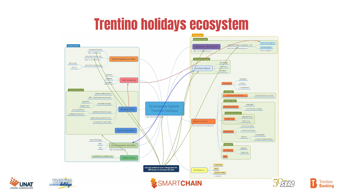#### Trentino holidays ecosystem







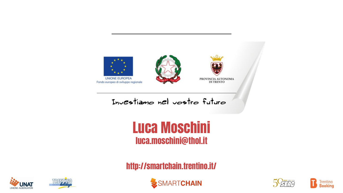

Investiamo nel vostro futuro

#### Luca Moschini luca.moschini@thol.it

http://smartchain.trentino.it/